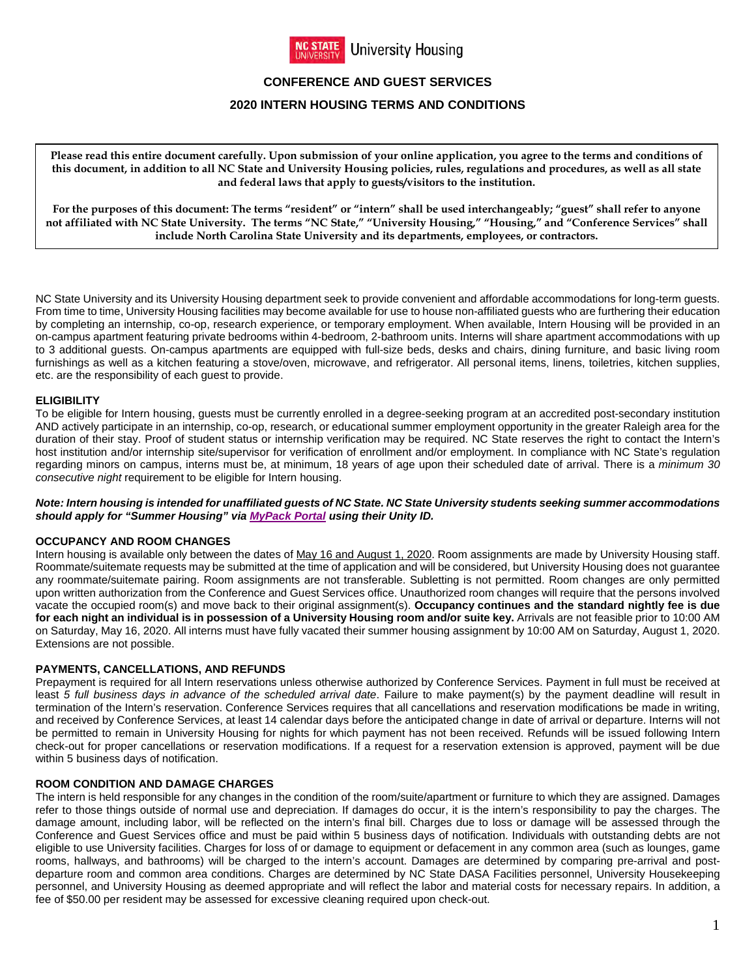

# **CONFERENCE AND GUEST SERVICES**

## **2020 INTERN HOUSING TERMS AND CONDITIONS**

**Please read this entire document carefully. Upon submission of your online application, you agree to the terms and conditions of this document, in addition to all NC State and University Housing policies, rules, regulations and procedures, as well as all state and federal laws that apply to guests/visitors to the institution.**

**For the purposes of this document: The terms "resident" or "intern" shall be used interchangeably; "guest" shall refer to anyone not affiliated with NC State University. The terms "NC State," "University Housing," "Housing," and "Conference Services" shall include North Carolina State University and its departments, employees, or contractors.**

NC State University and its University Housing department seek to provide convenient and affordable accommodations for long-term guests. From time to time, University Housing facilities may become available for use to house non-affiliated guests who are furthering their education by completing an internship, co-op, research experience, or temporary employment. When available, Intern Housing will be provided in an on-campus apartment featuring private bedrooms within 4-bedroom, 2-bathroom units. Interns will share apartment accommodations with up to 3 additional guests. On-campus apartments are equipped with full-size beds, desks and chairs, dining furniture, and basic living room furnishings as well as a kitchen featuring a stove/oven, microwave, and refrigerator. All personal items, linens, toiletries, kitchen supplies, etc. are the responsibility of each guest to provide.

## **ELIGIBILITY**

To be eligible for Intern housing, guests must be currently enrolled in a degree-seeking program at an accredited post-secondary institution AND actively participate in an internship, co-op, research, or educational summer employment opportunity in the greater Raleigh area for the duration of their stay. Proof of student status or internship verification may be required. NC State reserves the right to contact the Intern's host institution and/or internship site/supervisor for verification of enrollment and/or employment. In compliance with NC State's regulation regarding minors on campus, interns must be, at minimum, 18 years of age upon their scheduled date of arrival. There is a *minimum 30 consecutive night* requirement to be eligible for Intern housing.

*Note: Intern housing is intended for unaffiliated guests of NC State. NC State University students seeking summer accommodations should apply for "Summer Housing" via [MyPack Portal](http://mypack.ncsu.edu/) using their Unity ID.*

## **OCCUPANCY AND ROOM CHANGES**

Intern housing is available only between the dates of May 16 and August 1, 2020. Room assignments are made by University Housing staff. Roommate/suitemate requests may be submitted at the time of application and will be considered, but University Housing does not guarantee any roommate/suitemate pairing. Room assignments are not transferable. Subletting is not permitted. Room changes are only permitted upon written authorization from the Conference and Guest Services office. Unauthorized room changes will require that the persons involved vacate the occupied room(s) and move back to their original assignment(s). **Occupancy continues and the standard nightly fee is due for each night an individual is in possession of a University Housing room and/or suite key.** Arrivals are not feasible prior to 10:00 AM on Saturday, May 16, 2020. All interns must have fully vacated their summer housing assignment by 10:00 AM on Saturday, August 1, 2020. Extensions are not possible.

## **PAYMENTS, CANCELLATIONS, AND REFUNDS**

Prepayment is required for all Intern reservations unless otherwise authorized by Conference Services. Payment in full must be received at least *5 full business days in advance of the scheduled arrival date*. Failure to make payment(s) by the payment deadline will result in termination of the Intern's reservation. Conference Services requires that all cancellations and reservation modifications be made in writing, and received by Conference Services, at least 14 calendar days before the anticipated change in date of arrival or departure. Interns will not be permitted to remain in University Housing for nights for which payment has not been received. Refunds will be issued following Intern check-out for proper cancellations or reservation modifications. If a request for a reservation extension is approved, payment will be due within 5 business days of notification.

## **ROOM CONDITION AND DAMAGE CHARGES**

The intern is held responsible for any changes in the condition of the room/suite/apartment or furniture to which they are assigned. Damages refer to those things outside of normal use and depreciation. If damages do occur, it is the intern's responsibility to pay the charges. The damage amount, including labor, will be reflected on the intern's final bill. Charges due to loss or damage will be assessed through the Conference and Guest Services office and must be paid within 5 business days of notification. Individuals with outstanding debts are not eligible to use University facilities. Charges for loss of or damage to equipment or defacement in any common area (such as lounges, game rooms, hallways, and bathrooms) will be charged to the intern's account. Damages are determined by comparing pre-arrival and postdeparture room and common area conditions. Charges are determined by NC State DASA Facilities personnel, University Housekeeping personnel, and University Housing as deemed appropriate and will reflect the labor and material costs for necessary repairs. In addition, a fee of \$50.00 per resident may be assessed for excessive cleaning required upon check-out.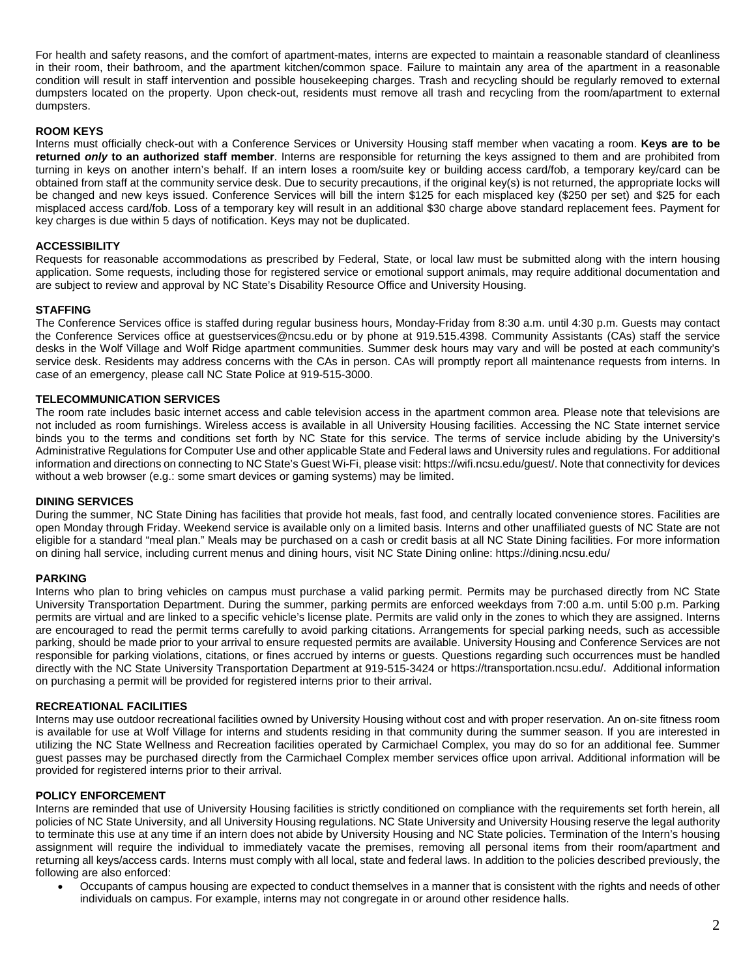For health and safety reasons, and the comfort of apartment-mates, interns are expected to maintain a reasonable standard of cleanliness in their room, their bathroom, and the apartment kitchen/common space. Failure to maintain any area of the apartment in a reasonable condition will result in staff intervention and possible housekeeping charges. Trash and recycling should be regularly removed to external dumpsters located on the property. Upon check-out, residents must remove all trash and recycling from the room/apartment to external dumpsters.

## **ROOM KEYS**

Interns must officially check-out with a Conference Services or University Housing staff member when vacating a room. **Keys are to be returned** *only* **to an authorized staff member**. Interns are responsible for returning the keys assigned to them and are prohibited from turning in keys on another intern's behalf. If an intern loses a room/suite key or building access card/fob, a temporary key/card can be obtained from staff at the community service desk. Due to security precautions, if the original key(s) is not returned, the appropriate locks will be changed and new keys issued. Conference Services will bill the intern \$125 for each misplaced key (\$250 per set) and \$25 for each misplaced access card/fob. Loss of a temporary key will result in an additional \$30 charge above standard replacement fees. Payment for key charges is due within 5 days of notification. Keys may not be duplicated.

## **ACCESSIBILITY**

Requests for reasonable accommodations as prescribed by Federal, State, or local law must be submitted along with the intern housing application. Some requests, including those for registered service or emotional support animals, may require additional documentation and are subject to review and approval by NC State's Disability Resource Office and University Housing.

## **STAFFING**

The Conference Services office is staffed during regular business hours, Monday-Friday from 8:30 a.m. until 4:30 p.m. Guests may contact the Conference Services office at [guestservices@ncsu.edu](mailto:guestservices@ncsu.edu) or by phone at 919.515.4398. Community Assistants (CAs) staff the service desks in the Wolf Village and Wolf Ridge apartment communities. Summer desk hours may vary and will be posted at each community's service desk. Residents may address concerns with the CAs in person. CAs will promptly report all maintenance requests from interns. In case of an emergency, please call NC State Police at 919-515-3000.

## **TELECOMMUNICATION SERVICES**

The room rate includes basic internet access and cable television access in the apartment common area. Please note that televisions are not included as room furnishings. Wireless access is available in all University Housing facilities. Accessing the NC State internet service binds you to the terms and conditions set forth by NC State for this service. The terms of service include abiding by the [University's](https://policies.ncsu.edu/regulation/reg-08-00-02/)  [Administrative Regulations for Computer Use](https://policies.ncsu.edu/regulation/reg-08-00-02/) and other applicable State and Federal laws an[d University rules and regulations.](https://oit.ncsu.edu/n/rules-regulations) For additional information and directions on connecting to NC State's Guest Wi-Fi, please visit[: https://wifi.ncsu.edu/guest/.](https://wifi.ncsu.edu/guest/) Note that connectivity for devices without a web browser (e.g.: some smart devices or gaming systems) may be limited.

## **DINING SERVICES**

During the summer, NC State Dining has facilities that provide hot meals, fast food, and centrally located convenience stores. Facilities are open Monday through Friday. Weekend service is available only on a limited basis. Interns and other unaffiliated guests of NC State are not eligible for a standard "meal plan." Meals may be purchased on a cash or credit basis at all NC State Dining facilities. For more information on dining hall service, including current menus and dining hours, visi[t NC State Dining online: https://dining.ncsu.edu/](https://dining.ncsu.edu/) 

## **PARKING**

Interns who plan to bring vehicles on campus must purchase a valid parking permit. [Permits may be purchased directly from NC State](http://www2.acs.ncsu.edu/trans/parking/)  [University Transportation](http://www2.acs.ncsu.edu/trans/parking/) Department. During the summer, parking permits are enforced weekdays from 7:00 a.m. until 5:00 p.m. Parking permits are virtual and are linked to a specific vehicle's license plate. Permits are valid only in the zones to which they are assigned. Interns are encouraged to read the permit terms carefully to avoid parking citations. Arrangements for special parking needs, such as accessible parking, should be made prior to your arrival to ensure requested permits are available. University Housing and Conference Services are not responsible for parking violations, citations, or fines accrued by interns or guests. Questions regarding such occurrences must be handled directly with the NC State University Transportation Department at 919-515-3424 or [https://transportation.ncsu.edu/.](https://transportation.ncsu.edu/) Additional information on purchasing a permit will be provided for registered interns prior to their arrival.

## **RECREATIONAL FACILITIES**

Interns may use outdoor recreational facilities owned by University Housing without cost and with proper reservation. An on-site fitness room is available for use at Wolf Village for interns and students residing in that community during the summer season. If you are interested in utilizing the NC State Wellness and Recreation facilities operated by Carmichael Complex, you may do so for an additional fee. [Summer](https://recreation.ncsu.edu/memberships/membership-options/)  guest passes [may be purchased directly from the Carmichael Complex](https://recreation.ncsu.edu/memberships/membership-options/) member services office upon arrival. Additional information will be provided for registered interns prior to their arrival.

## **POLICY ENFORCEMENT**

Interns are reminded that use of University Housing facilities is strictly conditioned on compliance with the requirements set forth herein, all policies of NC State University, and all University Housing regulations. NC State University and University Housing reserve the legal authority to terminate this use at any time if an intern does not abide by University Housing and NC State policies. Termination of the Intern's housing assignment will require the individual to immediately vacate the premises, removing all personal items from their room/apartment and returning all keys/access cards. Interns must comply with all local, state and federal laws. In addition to the policies described previously, the following are also enforced:

• Occupants of campus housing are expected to conduct themselves in a manner that is consistent with the rights and needs of other individuals on campus. For example, interns may not congregate in or around other residence halls.